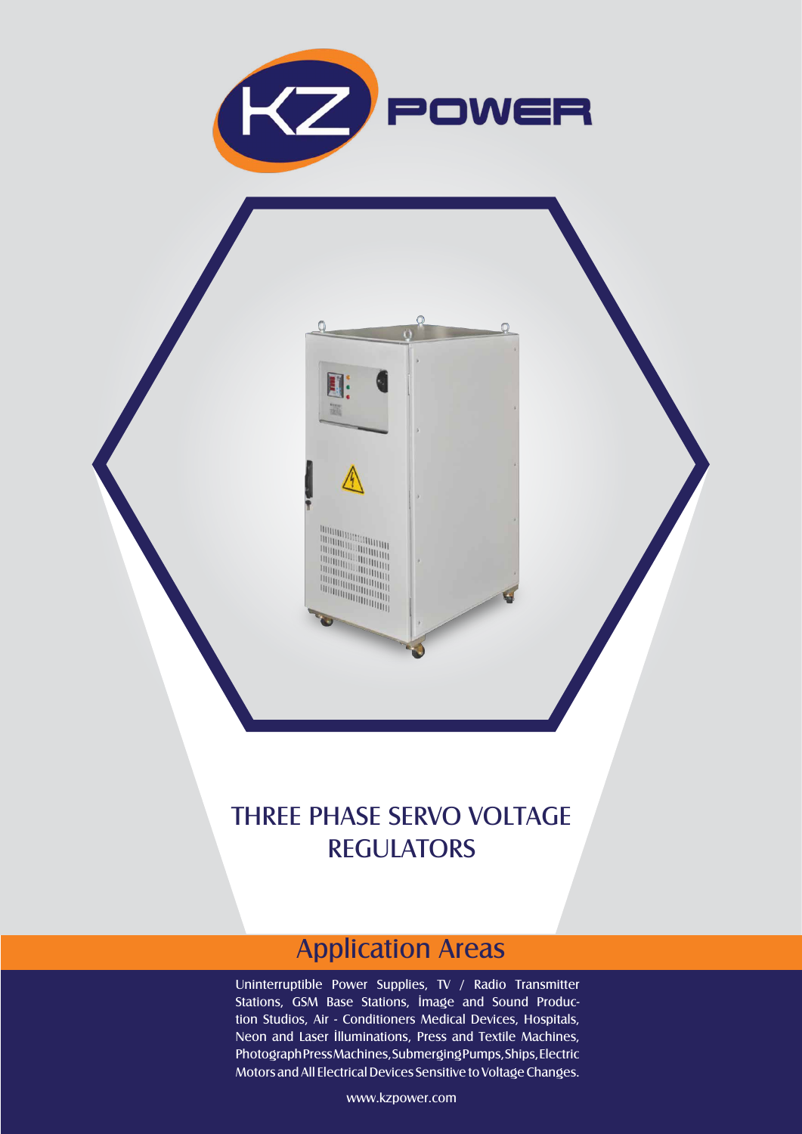

EI: 躧

## THREE PHASE SERVO VOLTAGE **REGULATORS**

## Application Areas

Uninterruptible Power Supplies, TV / Radio Transmitter Stations, GSM Base Stations, İmage and Sound Production Studios, Air - Conditioners Medical Devices, Hospitals, Neon and Laser İlluminations, Press and Textile Machines, Photograph Press Machines, Submerging Pumps, Ships, Electric Motors and All Electrical Devices Sensitive to Voltage Changes.

www.kzpower.com